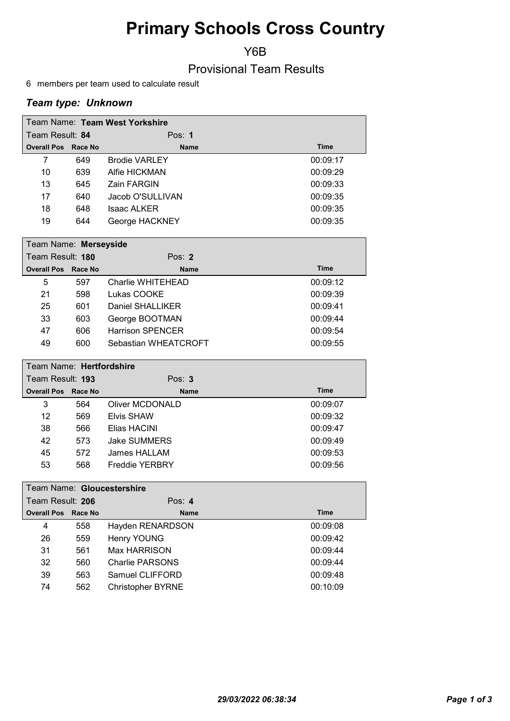# Primary Schools Cross Country

Y6B

## Provisional Team Results

6 members per team used to calculate result

### Team type: Unknown

| Team Name: Team West Yorkshire |     |                      |             |  |
|--------------------------------|-----|----------------------|-------------|--|
| Team Result: 84                |     | Pos: $1$             |             |  |
| <b>Overall Pos Race No</b>     |     | <b>Name</b>          | <b>Time</b> |  |
| 7                              | 649 | <b>Brodie VARLEY</b> | 00:09:17    |  |
| 10                             | 639 | Alfie HICKMAN        | 00:09:29    |  |
| 13                             | 645 | Zain FARGIN          | 00:09:33    |  |
| 17                             | 640 | Jacob O'SULLIVAN     | 00:09:35    |  |
| 18                             | 648 | Isaac ALKER          | 00:09:35    |  |
| 19                             | 644 | George HACKNEY       | 00:09:35    |  |

|                  | Team Name: Merseyside      |     |                         |             |  |
|------------------|----------------------------|-----|-------------------------|-------------|--|
| Team Result: 180 |                            |     | Pos: $2$                |             |  |
|                  | <b>Overall Pos Race No</b> |     | <b>Name</b>             | <b>Time</b> |  |
|                  | 5                          | 597 | Charlie WHITEHEAD       | 00:09:12    |  |
|                  | 21                         | 598 | Lukas COOKE             | 00:09:39    |  |
|                  | 25                         | 601 | Daniel SHALLIKER        | 00:09:41    |  |
|                  | 33                         | 603 | George BOOTMAN          | 00:09:44    |  |
|                  | 47                         | 606 | <b>Harrison SPENCER</b> | 00:09:54    |  |
|                  | 49                         | 600 | Sebastian WHEATCROFT    | 00:09:55    |  |

| Team Name: Hertfordshire   |     |                       |             |  |  |
|----------------------------|-----|-----------------------|-------------|--|--|
| Team Result: 193           |     | Pos: $3$              |             |  |  |
| <b>Overall Pos Race No</b> |     | <b>Name</b>           | <b>Time</b> |  |  |
| 3                          | 564 | Oliver MCDONALD       | 00:09:07    |  |  |
| 12                         | 569 | Elvis SHAW            | 00:09:32    |  |  |
| 38                         | 566 | Elias HACINI          | 00:09:47    |  |  |
| 42                         | 573 | <b>Jake SUMMERS</b>   | 00:09:49    |  |  |
| 45                         | 572 | James HALLAM          | 00:09:53    |  |  |
| 53                         | 568 | <b>Freddie YERBRY</b> | 00:09:56    |  |  |

|                  | Team Name: Gloucestershire |     |                          |             |  |  |
|------------------|----------------------------|-----|--------------------------|-------------|--|--|
| Team Result: 206 |                            |     | Pos: $4$                 |             |  |  |
|                  | <b>Overall Pos Race No</b> |     | <b>Name</b>              | <b>Time</b> |  |  |
|                  | 4                          | 558 | Hayden RENARDSON         | 00:09:08    |  |  |
|                  | 26                         | 559 | <b>Henry YOUNG</b>       | 00:09:42    |  |  |
|                  | 31                         | 561 | Max HARRISON             | 00:09:44    |  |  |
|                  | 32                         | 560 | Charlie PARSONS          | 00:09:44    |  |  |
|                  | 39                         | 563 | Samuel CLIFFORD          | 00:09:48    |  |  |
|                  | 74                         | 562 | <b>Christopher BYRNE</b> | 00:10:09    |  |  |
|                  |                            |     |                          |             |  |  |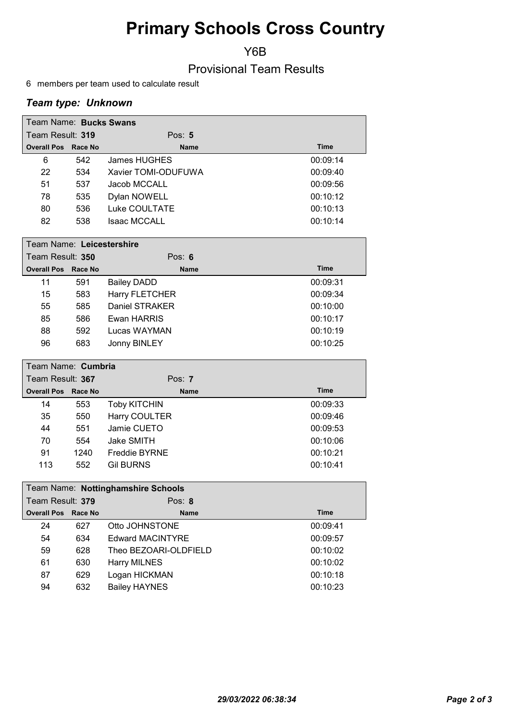# Primary Schools Cross Country

Y6B

Provisional Team Results

6 members per team used to calculate result

### Team type: Unknown

|                            | Team Name: Bucks Swans |                     |             |  |  |
|----------------------------|------------------------|---------------------|-------------|--|--|
| Team Result: 319           |                        | Pos: $5$            |             |  |  |
| <b>Overall Pos Race No</b> |                        | <b>Name</b>         | <b>Time</b> |  |  |
| 6                          | 542                    | James HUGHES        | 00:09:14    |  |  |
| 22                         | 534                    | Xavier TOMI-ODUFUWA | 00:09:40    |  |  |
| 51                         | 537                    | Jacob MCCALL        | 00:09:56    |  |  |
| 78                         | 535                    | Dylan NOWELL        | 00:10:12    |  |  |
| 80                         | 536                    | Luke COULTATE       | 00:10:13    |  |  |
| 82                         | 538                    | <b>Isaac MCCALL</b> | 00:10:14    |  |  |

|                  | Team Name: Leicestershire  |                       |             |  |  |  |
|------------------|----------------------------|-----------------------|-------------|--|--|--|
| Team Result: 350 |                            | Pos: $6$              |             |  |  |  |
|                  | <b>Overall Pos Race No</b> | <b>Name</b>           | <b>Time</b> |  |  |  |
| 11               | 591                        | Bailey DADD           | 00:09:31    |  |  |  |
| 15               | 583                        | <b>Harry FLETCHER</b> | 00:09:34    |  |  |  |
| 55               | 585                        | Daniel STRAKER        | 00:10:00    |  |  |  |
| 85               | 586                        | Ewan HARRIS           | 00:10:17    |  |  |  |
| 88               | 592                        | Lucas WAYMAN          | 00:10:19    |  |  |  |
| 96               | 683                        | Jonny BINLEY          | 00:10:25    |  |  |  |

| Team Name: Cumbria         |      |                      |             |  |
|----------------------------|------|----------------------|-------------|--|
| Team Result: 367           |      | Pos: $7$             |             |  |
| <b>Overall Pos Race No</b> |      | <b>Name</b>          | <b>Time</b> |  |
| 14                         | 553  | <b>Toby KITCHIN</b>  | 00:09:33    |  |
| 35                         | 550  | <b>Harry COULTER</b> | 00:09:46    |  |
| 44                         | 551  | Jamie CUETO          | 00:09:53    |  |
| 70                         | 554  | Jake SMITH           | 00:10:06    |  |
| 91                         | 1240 | <b>Freddie BYRNE</b> | 00:10:21    |  |
| 113                        | 552  | <b>Gil BURNS</b>     | 00:10:41    |  |

|                  | Team Name: Nottinghamshire Schools |     |                         |             |  |  |
|------------------|------------------------------------|-----|-------------------------|-------------|--|--|
| Team Result: 379 |                                    |     | Pos: $8$                |             |  |  |
|                  | <b>Overall Pos Race No</b>         |     | <b>Name</b>             | <b>Time</b> |  |  |
|                  | 24                                 | 627 | Otto JOHNSTONE          | 00:09:41    |  |  |
|                  | 54                                 | 634 | <b>Edward MACINTYRE</b> | 00:09:57    |  |  |
|                  | 59                                 | 628 | Theo BEZOARI-OLDFIELD   | 00:10:02    |  |  |
|                  | 61                                 | 630 | <b>Harry MILNES</b>     | 00:10:02    |  |  |
|                  | 87                                 | 629 | Logan HICKMAN           | 00:10:18    |  |  |
|                  | 94                                 | 632 | <b>Bailey HAYNES</b>    | 00:10:23    |  |  |
|                  |                                    |     |                         |             |  |  |